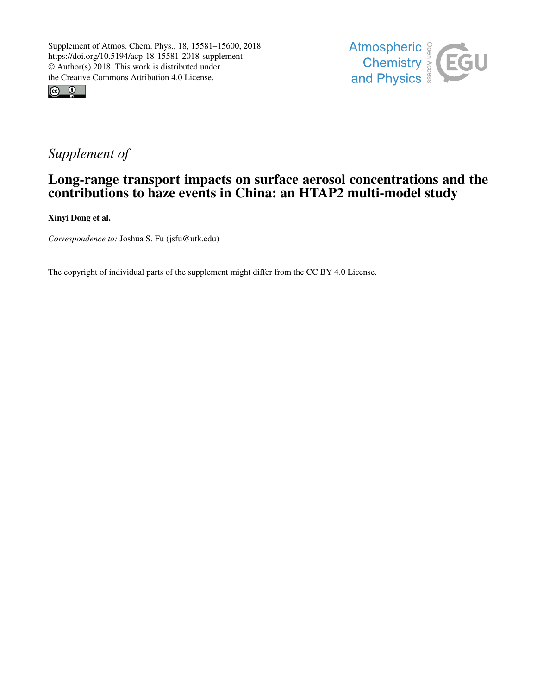



# *Supplement of*

## Long-range transport impacts on surface aerosol concentrations and the contributions to haze events in China: an HTAP2 multi-model study

Xinyi Dong et al.

*Correspondence to:* Joshua S. Fu (jsfu@utk.edu)

The copyright of individual parts of the supplement might differ from the CC BY 4.0 License.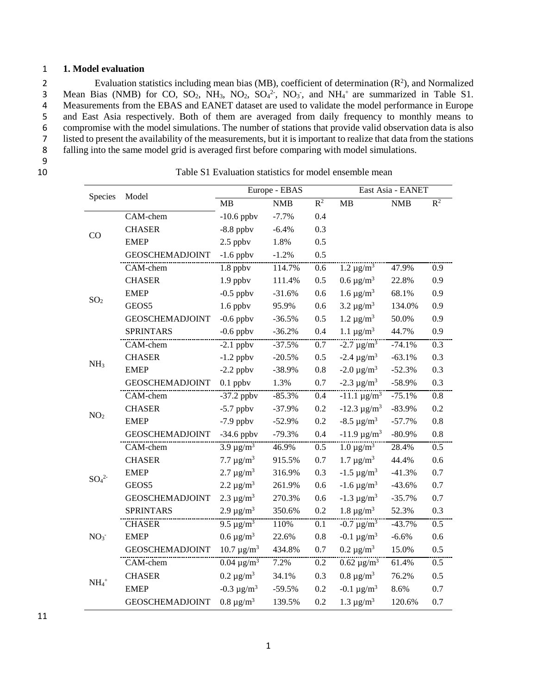#### 1 **1. Model evaluation**

2 Evaluation statistics including mean bias (MB), coefficient of determination  $(R^2)$ , and Normalized 3 Mean Bias (NMB) for CO,  $SO_2$ , NH<sub>3</sub>, NO<sub>2</sub>,  $SO_4^2$ <sup>-</sup>, NO<sub>3</sub><sup>-</sup>, and NH<sub>4</sub><sup>+</sup> are summarized in Table S1. Measurements from the EBAS and EANET dataset are used to validate the model performance in Europe and East Asia respectively. Both of them are averaged from daily frequency to monthly means to compromise with the model simulations. The number of stations that provide valid observation data is also listed to present the availability of the measurements, but it is important to realize that data from the stations falling into the same model grid is averaged first before comparing with model simulations.

 $\frac{9}{10}$ 

Table S1 Evaluation statistics for model ensemble mean

|                              |                        |                            | Europe - EBAS |         | East Asia - EANET          |            |       |  |
|------------------------------|------------------------|----------------------------|---------------|---------|----------------------------|------------|-------|--|
| Species                      | Model                  | MB                         | <b>NMB</b>    | $R^2$   | <b>MB</b>                  | <b>NMB</b> | $R^2$ |  |
| CO                           | CAM-chem               | $-10.6$ ppbv               | $-7.7%$       | 0.4     |                            |            |       |  |
|                              | <b>CHASER</b>          | $-8.8$ ppbv                | $-6.4%$       | 0.3     |                            |            |       |  |
|                              | <b>EMEP</b>            | $2.5$ ppbv                 | 1.8%          | 0.5     |                            |            |       |  |
|                              | <b>GEOSCHEMADJOINT</b> | $-1.6$ ppbv                | $-1.2%$       | 0.5     |                            |            |       |  |
| SO <sub>2</sub>              | CAM-chem               | 1.8 ppbv                   | 114.7%        | 0.6     | 1.2 $\mu$ g/m <sup>3</sup> | 47.9%      | 0.9   |  |
|                              | <b>CHASER</b>          | $1.9$ ppbv                 | 111.4%        | 0.5     | $0.6 \ \mu g/m^3$          | 22.8%      | 0.9   |  |
|                              | <b>EMEP</b>            | $-0.5$ ppbv                | $-31.6%$      | 0.6     | 1.6 $\mu$ g/m <sup>3</sup> | 68.1%      | 0.9   |  |
|                              | GEOS5                  | $1.6$ ppbv                 | 95.9%         | 0.6     | 3.2 $\mu$ g/m <sup>3</sup> | 134.0%     | 0.9   |  |
|                              | <b>GEOSCHEMADJOINT</b> | $-0.6$ ppbv                | $-36.5%$      | 0.5     | 1.2 $\mu g/m^3$            | 50.0%      | 0.9   |  |
|                              | <b>SPRINTARS</b>       | $-0.6$ ppbv                | $-36.2%$      | 0.4     | 1.1 $\mu$ g/m <sup>3</sup> | 44.7%      | 0.9   |  |
| NH <sub>3</sub>              | CAM-chem               | $-2.1$ ppbv                | $-37.5%$      | 0.7     | $-2.7 \mu g/m^3$           | $-74.1%$   | 0.3   |  |
|                              | <b>CHASER</b>          | $-1.2$ ppbv                | $-20.5%$      | 0.5     | $-2.4 \ \mu g/m^3$         | $-63.1%$   | 0.3   |  |
|                              | <b>EMEP</b>            | $-2.2$ ppbv                | $-38.9%$      | $0.8\,$ | $-2.0 \ \mu g/m^3$         | $-52.3%$   | 0.3   |  |
|                              | <b>GEOSCHEMADJOINT</b> | $0.1$ ppbv                 | 1.3%          | 0.7     | $-2.3 \mu g/m^3$           | $-58.9%$   | 0.3   |  |
| NO <sub>2</sub>              | CAM-chem               | $-37.2$ ppbv               | $-85.3%$      | 0.4     | $-11.1 \text{ µg/m}^3$     | $-75.1%$   | 0.8   |  |
|                              | <b>CHASER</b>          | $-5.7$ ppbv                | $-37.9%$      | 0.2     | $-12.3 \ \mu g/m^3$        | $-83.9%$   | 0.2   |  |
|                              | <b>EMEP</b>            | $-7.9$ ppbv                | $-52.9%$      | 0.2     | $-8.5 \ \mu g/m^3$         | $-57.7%$   | 0.8   |  |
|                              | <b>GEOSCHEMADJOINT</b> | $-34.6$ ppbv               | $-79.3%$      | 0.4     | $-11.9 \text{ µg/m}^3$     | $-80.9%$   | 0.8   |  |
| SO <sub>4</sub> <sup>2</sup> | CAM-chem               | $3.9 \text{ µg/m}^3$       | 46.9%         | 0.5     | 1.0 $\mu$ g/m <sup>3</sup> | 28.4%      | 0.5   |  |
|                              | <b>CHASER</b>          | 7.7 $\mu$ g/m <sup>3</sup> | 915.5%        | 0.7     | 1.7 $\mu$ g/m <sup>3</sup> | 44.4%      | 0.6   |  |
|                              | <b>EMEP</b>            | 2.7 $\mu$ g/m <sup>3</sup> | 316.9%        | 0.3     | $-1.5 \ \mu g/m^3$         | $-41.3%$   | 0.7   |  |
|                              | GEOS5                  | 2.2 $\mu$ g/m <sup>3</sup> | 261.9%        | 0.6     | $-1.6 \ \mu g/m^3$         | $-43.6%$   | 0.7   |  |
|                              | <b>GEOSCHEMADJOINT</b> | 2.3 $\mu$ g/m <sup>3</sup> | 270.3%        | 0.6     | $-1.3 \mu g/m^3$           | $-35.7%$   | 0.7   |  |
|                              | <b>SPRINTARS</b>       | 2.9 $\mu$ g/m <sup>3</sup> | 350.6%        | 0.2     | 1.8 $\mu$ g/m <sup>3</sup> | 52.3%      | 0.3   |  |
| NO <sub>3</sub>              | <b>CHASER</b>          | 9.5 $\mu$ g/m <sup>3</sup> | 110%          | 0.1     | $-0.7 \ \mu g/m^3$         | $-43.7%$   | 0.5   |  |
|                              | <b>EMEP</b>            | 0.6 $\mu$ g/m <sup>3</sup> | 22.6%         | 0.8     | $-0.1 \ \mu g/m^3$         | $-6.6%$    | 0.6   |  |
|                              | <b>GEOSCHEMADJOINT</b> | $10.7 \text{ µg/m}^3$      | 434.8%        | 0.7     | 0.2 $\mu$ g/m <sup>3</sup> | 15.0%      | 0.5   |  |
| $NH_4$ <sup>+</sup>          | CAM-chem               | $0.04 \ \mu g/m^3$         | 7.2%          | 0.2     | $0.62 \ \mu g/m^3$         | 61.4%      | 0.5   |  |
|                              | <b>CHASER</b>          | 0.2 $\mu$ g/m <sup>3</sup> | 34.1%         | 0.3     | $0.8 \text{ µg/m}^3$       | 76.2%      | 0.5   |  |
|                              | <b>EMEP</b>            | $-0.3 \mu g/m^3$           | $-59.5%$      | 0.2     | $-0.1 \ \mu g/m^3$         | 8.6%       | 0.7   |  |
|                              | <b>GEOSCHEMADJOINT</b> | $0.8 \text{ µg/m}^3$       | 139.5%        | 0.2     | 1.3 $\mu$ g/m <sup>3</sup> | 120.6%     | 0.7   |  |

11